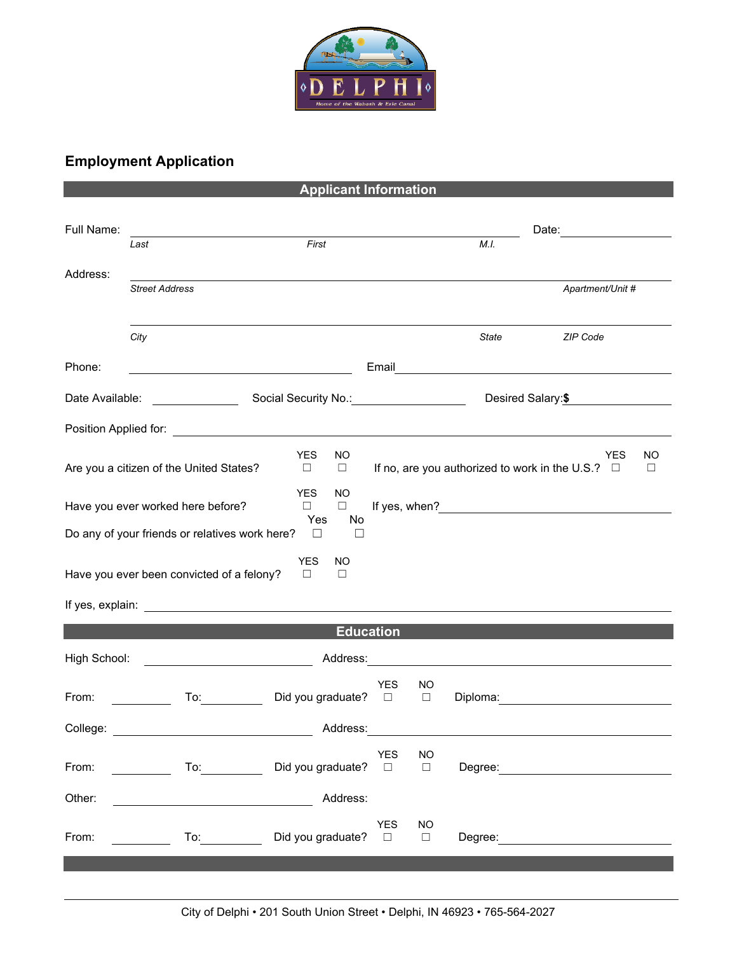

## **Employment Application**

**Applicant Information**

| Full Name:                                                                        |                                                 |                                       |                |                     |       |                                                                     |              |  |  |
|-----------------------------------------------------------------------------------|-------------------------------------------------|---------------------------------------|----------------|---------------------|-------|---------------------------------------------------------------------|--------------|--|--|
|                                                                                   | Last                                            | First                                 |                |                     | M.I.  |                                                                     |              |  |  |
| Address:                                                                          | <b>Street Address</b>                           |                                       |                |                     |       | Apartment/Unit #                                                    |              |  |  |
|                                                                                   | City                                            |                                       |                |                     | State | ZIP Code                                                            |              |  |  |
| Phone:                                                                            |                                                 |                                       |                |                     |       |                                                                     |              |  |  |
| Date Available:                                                                   |                                                 |                                       |                |                     |       | Desired Salary: \$                                                  |              |  |  |
|                                                                                   |                                                 |                                       |                |                     |       |                                                                     |              |  |  |
|                                                                                   | Are you a citizen of the United States?         | <b>YES</b><br>NO.<br>$\Box$<br>$\Box$ |                |                     |       | <b>YES</b><br>If no, are you authorized to work in the U.S.? $\Box$ | NO<br>$\Box$ |  |  |
|                                                                                   | Have you ever worked here before?               | YES.<br>NO<br>$\Box$<br>$\Box$        |                |                     |       |                                                                     |              |  |  |
| Yes<br>No<br>Do any of your friends or relatives work here?<br>$\Box$<br>ப        |                                                 |                                       |                |                     |       |                                                                     |              |  |  |
| <b>YES</b><br>NO<br>Have you ever been convicted of a felony?<br>$\Box$<br>$\Box$ |                                                 |                                       |                |                     |       |                                                                     |              |  |  |
| <b>Education</b>                                                                  |                                                 |                                       |                |                     |       |                                                                     |              |  |  |
| High School:                                                                      | <u> 1990 - Johann Barbara, martin a</u>         |                                       |                |                     |       |                                                                     |              |  |  |
| From:                                                                             | To: $\qquad \qquad$<br><u>and a strong to</u>   | Did you graduate?                     | YES.<br>$\Box$ | NO<br>$\Box$        |       |                                                                     |              |  |  |
|                                                                                   |                                                 | Address:                              |                |                     |       |                                                                     |              |  |  |
| From:                                                                             | To: $\qquad \qquad$                             | Did you graduate? □                   | YES NO         | $\Box$              |       |                                                                     |              |  |  |
| Other:                                                                            | <u> 1989 - Johann Barnett, fransk politik (</u> | Address:                              |                |                     |       |                                                                     |              |  |  |
| From:                                                                             |                                                 | Did you graduate? □                   | <b>YES</b>     | <b>NO</b><br>$\Box$ |       |                                                                     |              |  |  |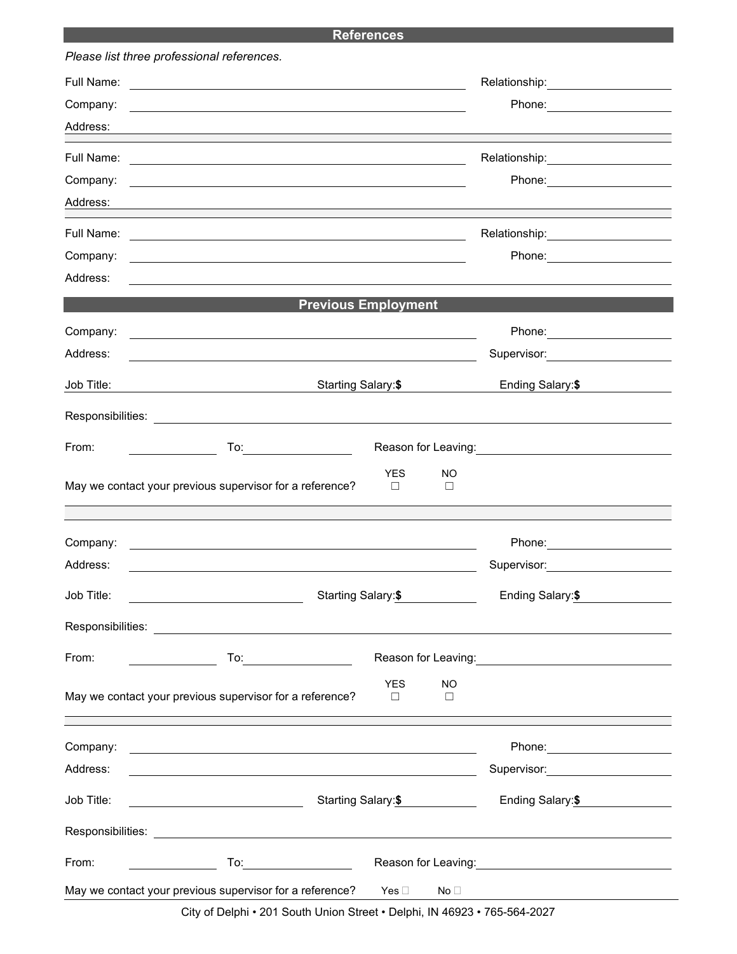## **References**

|            | Please list three professional references.                                                                                                                                                                                    |                                  |                                                                                                                                                                                                                                      |
|------------|-------------------------------------------------------------------------------------------------------------------------------------------------------------------------------------------------------------------------------|----------------------------------|--------------------------------------------------------------------------------------------------------------------------------------------------------------------------------------------------------------------------------------|
| Full Name: | <u> 1989 - Johann Harry Harry Harry Harry Harry Harry Harry Harry Harry Harry Harry Harry Harry Harry Harry Harry</u>                                                                                                         |                                  | Relationship: 2000                                                                                                                                                                                                                   |
| Company:   |                                                                                                                                                                                                                               |                                  | Phone: ______________________                                                                                                                                                                                                        |
| Address:   |                                                                                                                                                                                                                               |                                  |                                                                                                                                                                                                                                      |
| Full Name: |                                                                                                                                                                                                                               |                                  | Relationship: 2000                                                                                                                                                                                                                   |
| Company:   |                                                                                                                                                                                                                               |                                  |                                                                                                                                                                                                                                      |
| Address:   |                                                                                                                                                                                                                               |                                  |                                                                                                                                                                                                                                      |
| Full Name: |                                                                                                                                                                                                                               |                                  | Relationship:____________________                                                                                                                                                                                                    |
| Company:   |                                                                                                                                                                                                                               |                                  |                                                                                                                                                                                                                                      |
| Address:   |                                                                                                                                                                                                                               |                                  |                                                                                                                                                                                                                                      |
|            |                                                                                                                                                                                                                               | <b>Previous Employment</b>       |                                                                                                                                                                                                                                      |
| Company:   |                                                                                                                                                                                                                               |                                  |                                                                                                                                                                                                                                      |
| Address:   |                                                                                                                                                                                                                               |                                  | Supervisor: 2000                                                                                                                                                                                                                     |
| Job Title: | Starting Salary:\$                                                                                                                                                                                                            |                                  | Ending Salary:\$                                                                                                                                                                                                                     |
|            |                                                                                                                                                                                                                               |                                  |                                                                                                                                                                                                                                      |
| From:      |                                                                                                                                                                                                                               |                                  | Reason for Leaving: <u>contained and the set of the set of the set of the set of the set of the set of the set of the set of the set of the set of the set of the set of the set of the set of the set of the set of the set of </u> |
|            | May we contact your previous supervisor for a reference?                                                                                                                                                                      | <b>YES</b><br>NO.<br>$\Box$<br>□ |                                                                                                                                                                                                                                      |
| Company:   | the control of the control of the control of the control of the control of the control of the control of the control of the control of the control of the control of the control of the control of the control of the control |                                  | Phone: <u>_____________________</u>                                                                                                                                                                                                  |
| Address:   | <u> 1989 - Johann Stein, mars an deus Amerikaansk kommunister (</u>                                                                                                                                                           |                                  | Supervisor: ___________________                                                                                                                                                                                                      |
| Job Title: | <u> 1990 - Johann Barbara, martin a</u>                                                                                                                                                                                       | Starting Salary:\$               | Ending Salary:\$                                                                                                                                                                                                                     |
|            |                                                                                                                                                                                                                               |                                  |                                                                                                                                                                                                                                      |
| From:      | $To: \begin{tabular}{ c c c } \hline \quad \quad & \quad \quad & \quad \quad \\ \hline \end{tabular}$                                                                                                                         |                                  | Reason for Leaving:<br><u> Conserversion</u>                                                                                                                                                                                         |
|            |                                                                                                                                                                                                                               | <b>YES</b><br><b>NO</b>          |                                                                                                                                                                                                                                      |
|            | May we contact your previous supervisor for a reference?                                                                                                                                                                      | $\Box$<br>□                      |                                                                                                                                                                                                                                      |
| Company:   | <u> 1989 - Johann Barnett, fransk politiker (d. 1989)</u>                                                                                                                                                                     |                                  | Phone: _______________________                                                                                                                                                                                                       |
| Address:   | <u> 1980 - Johann Barn, fransk politik (f. 1980)</u>                                                                                                                                                                          |                                  |                                                                                                                                                                                                                                      |
| Job Title: |                                                                                                                                                                                                                               | Starting Salary:\$               | Ending Salary:\$                                                                                                                                                                                                                     |
|            |                                                                                                                                                                                                                               |                                  |                                                                                                                                                                                                                                      |
| From:      | To <u>:_________________________</u>                                                                                                                                                                                          |                                  | Reason for Leaving: <u>contained and the set of the set of the set of the set of the set of the set of the set of the set of the set of the set of the set of the set of the set of the set of the set of the set of the set of </u> |
|            | May we contact your previous supervisor for a reference?                                                                                                                                                                      | Yes $\square$<br>No <sub>1</sub> |                                                                                                                                                                                                                                      |

City of Delphi • 201 South Union Street • Delphi, IN 46923 • 765-564-2027